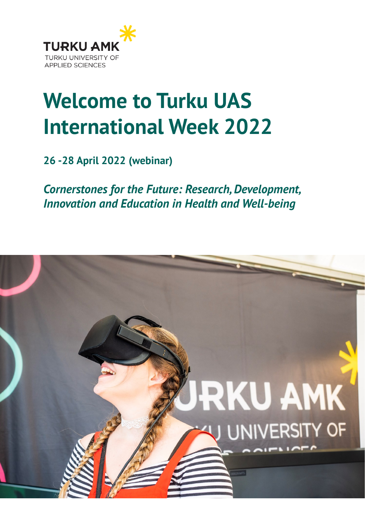

## **Welcome to Turku UAS International Week 2022**

**26 -28 April 2022 (webinar)**

*Cornerstones for the Future: Research, Development, Innovation and Education in Health and Well-being*